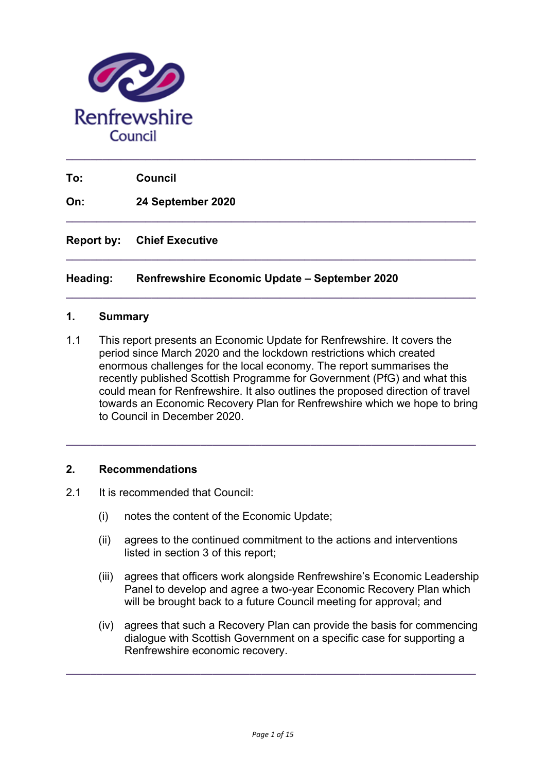

**To: Council**

**On: 24 September 2020**

**Report by: Chief Executive**

#### **Heading: Renfrewshire Economic Update – September 2020**

#### **1. Summary**

1.1 This report presents an Economic Update for Renfrewshire. It covers the period since March 2020 and the lockdown restrictions which created enormous challenges for the local economy. The report summarises the recently published Scottish Programme for Government (PfG) and what this could mean for Renfrewshire. It also outlines the proposed direction of travel towards an Economic Recovery Plan for Renfrewshire which we hope to bring to Council in December 2020.

**\_\_\_\_\_\_\_\_\_\_\_\_\_\_\_\_\_\_\_\_\_\_\_\_\_\_\_\_\_\_\_\_\_\_\_\_\_\_\_\_\_\_\_\_\_\_\_\_\_\_\_\_\_\_\_\_\_\_\_\_\_\_\_\_\_\_\_** 

**\_\_\_\_\_\_\_\_\_\_\_\_\_\_\_\_\_\_\_\_\_\_\_\_\_\_\_\_\_\_\_\_\_\_\_\_\_\_\_\_\_\_\_\_\_\_\_\_\_\_\_\_\_\_\_\_\_\_\_\_\_\_\_\_\_\_\_** 

**\_\_\_\_\_\_\_\_\_\_\_\_\_\_\_\_\_\_\_\_\_\_\_\_\_\_\_\_\_\_\_\_\_\_\_\_\_\_\_\_\_\_\_\_\_\_\_\_\_\_\_\_\_\_\_\_\_\_\_\_\_\_\_\_\_\_\_** 

**\_\_\_\_\_\_\_\_\_\_\_\_\_\_\_\_\_\_\_\_\_\_\_\_\_\_\_\_\_\_\_\_\_\_\_\_\_\_\_\_\_\_\_\_\_\_\_\_\_\_\_\_\_\_\_\_\_\_\_\_\_\_\_\_\_\_\_** 

#### **2. Recommendations**

- 2.1 It is recommended that Council:
	- (i) notes the content of the Economic Update;
	- (ii) agrees to the continued commitment to the actions and interventions listed in section 3 of this report;
	- (iii) agrees that officers work alongside Renfrewshire's Economic Leadership Panel to develop and agree a two-year Economic Recovery Plan which will be brought back to a future Council meeting for approval; and
	- (iv) agrees that such a Recovery Plan can provide the basis for commencing dialogue with Scottish Government on a specific case for supporting a Renfrewshire economic recovery.

**\_\_\_\_\_\_\_\_\_\_\_\_\_\_\_\_\_\_\_\_\_\_\_\_\_\_\_\_\_\_\_\_\_\_\_\_\_\_\_\_\_\_\_\_\_\_\_\_\_\_\_\_\_\_\_\_\_\_\_\_\_\_\_\_\_\_\_**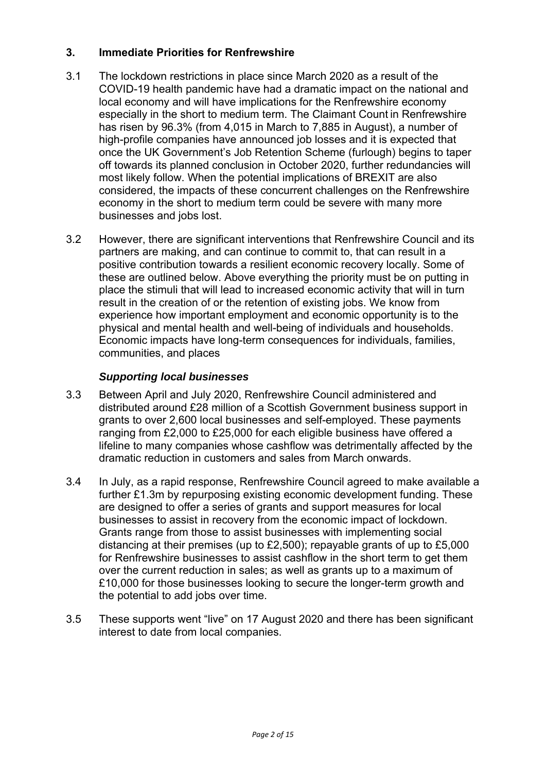# **3. Immediate Priorities for Renfrewshire**

- 3.1 The lockdown restrictions in place since March 2020 as a result of the COVID-19 health pandemic have had a dramatic impact on the national and local economy and will have implications for the Renfrewshire economy especially in the short to medium term. The Claimant Count in Renfrewshire has risen by 96.3% (from 4,015 in March to 7,885 in August), a number of high-profile companies have announced job losses and it is expected that once the UK Government's Job Retention Scheme (furlough) begins to taper off towards its planned conclusion in October 2020, further redundancies will most likely follow. When the potential implications of BREXIT are also considered, the impacts of these concurrent challenges on the Renfrewshire economy in the short to medium term could be severe with many more businesses and jobs lost.
- 3.2 However, there are significant interventions that Renfrewshire Council and its partners are making, and can continue to commit to, that can result in a positive contribution towards a resilient economic recovery locally. Some of these are outlined below. Above everything the priority must be on putting in place the stimuli that will lead to increased economic activity that will in turn result in the creation of or the retention of existing jobs. We know from experience how important employment and economic opportunity is to the physical and mental health and well-being of individuals and households. Economic impacts have long-term consequences for individuals, families, communities, and places

## *Supporting local businesses*

- 3.3 Between April and July 2020, Renfrewshire Council administered and distributed around £28 million of a Scottish Government business support in grants to over 2,600 local businesses and self-employed. These payments ranging from £2,000 to £25,000 for each eligible business have offered a lifeline to many companies whose cashflow was detrimentally affected by the dramatic reduction in customers and sales from March onwards.
- 3.4 In July, as a rapid response, Renfrewshire Council agreed to make available a further £1.3m by repurposing existing economic development funding. These are designed to offer a series of grants and support measures for local businesses to assist in recovery from the economic impact of lockdown. Grants range from those to assist businesses with implementing social distancing at their premises (up to £2,500); repayable grants of up to £5,000 for Renfrewshire businesses to assist cashflow in the short term to get them over the current reduction in sales; as well as grants up to a maximum of £10,000 for those businesses looking to secure the longer-term growth and the potential to add jobs over time.
- 3.5 These supports went "live" on 17 August 2020 and there has been significant interest to date from local companies.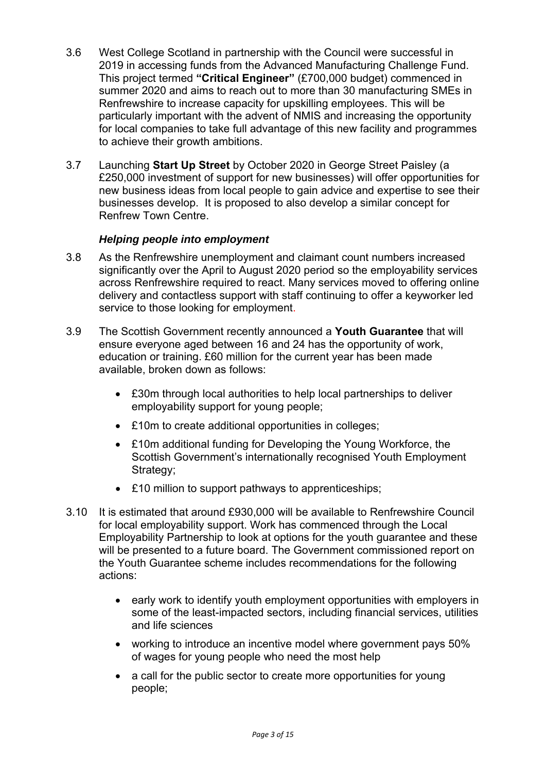- 3.6 West College Scotland in partnership with the Council were successful in 2019 in accessing funds from the Advanced Manufacturing Challenge Fund. This project termed **"Critical Engineer"** (£700,000 budget) commenced in summer 2020 and aims to reach out to more than 30 manufacturing SMEs in Renfrewshire to increase capacity for upskilling employees. This will be particularly important with the advent of NMIS and increasing the opportunity for local companies to take full advantage of this new facility and programmes to achieve their growth ambitions.
- 3.7 Launching **Start Up Street** by October 2020 in George Street Paisley (a £250,000 investment of support for new businesses) will offer opportunities for new business ideas from local people to gain advice and expertise to see their businesses develop. It is proposed to also develop a similar concept for Renfrew Town Centre.

## *Helping people into employment*

- 3.8 As the Renfrewshire unemployment and claimant count numbers increased significantly over the April to August 2020 period so the employability services across Renfrewshire required to react. Many services moved to offering online delivery and contactless support with staff continuing to offer a keyworker led service to those looking for employment.
- 3.9 The Scottish Government recently announced a **Youth Guarantee** that will ensure everyone aged between 16 and 24 has the opportunity of work, education or training. £60 million for the current year has been made available, broken down as follows:
	- £30m through local authorities to help local partnerships to deliver employability support for young people;
	- £10m to create additional opportunities in colleges;
	- £10m additional funding for Developing the Young Workforce, the Scottish Government's internationally recognised Youth Employment Strategy;
	- £10 million to support pathways to apprenticeships;
- 3.10 It is estimated that around £930,000 will be available to Renfrewshire Council for local employability support. Work has commenced through the Local Employability Partnership to look at options for the youth guarantee and these will be presented to a future board. The Government commissioned report on the Youth Guarantee scheme includes recommendations for the following actions:
	- early work to identify youth employment opportunities with employers in some of the least-impacted sectors, including financial services, utilities and life sciences
	- working to introduce an incentive model where government pays 50% of wages for young people who need the most help
	- a call for the public sector to create more opportunities for young people;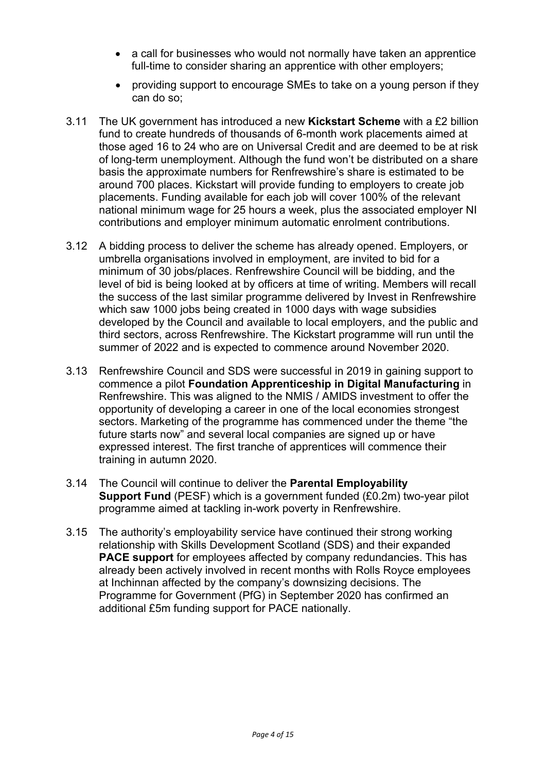- a call for businesses who would not normally have taken an apprentice full-time to consider sharing an apprentice with other employers:
- providing support to encourage SMEs to take on a young person if they can do so;
- 3.11 The UK government has introduced a new **Kickstart Scheme** with a £2 billion fund to create hundreds of thousands of 6-month work placements aimed at those aged 16 to 24 who are on Universal Credit and are deemed to be at risk of long-term unemployment. Although the fund won't be distributed on a share basis the approximate numbers for Renfrewshire's share is estimated to be around 700 places. Kickstart will provide funding to employers to create job placements. Funding available for each job will cover 100% of the relevant national minimum wage for 25 hours a week, plus the associated employer NI contributions and employer minimum automatic enrolment contributions.
- 3.12 A bidding process to deliver the scheme has already opened. Employers, or umbrella organisations involved in employment, are invited to bid for a minimum of 30 jobs/places. Renfrewshire Council will be bidding, and the level of bid is being looked at by officers at time of writing. Members will recall the success of the last similar programme delivered by Invest in Renfrewshire which saw 1000 jobs being created in 1000 days with wage subsidies developed by the Council and available to local employers, and the public and third sectors, across Renfrewshire. The Kickstart programme will run until the summer of 2022 and is expected to commence around November 2020.
- 3.13 Renfrewshire Council and SDS were successful in 2019 in gaining support to commence a pilot **Foundation Apprenticeship in Digital Manufacturing** in Renfrewshire. This was aligned to the NMIS / AMIDS investment to offer the opportunity of developing a career in one of the local economies strongest sectors. Marketing of the programme has commenced under the theme "the future starts now" and several local companies are signed up or have expressed interest. The first tranche of apprentices will commence their training in autumn 2020.
- 3.14 The Council will continue to deliver the **Parental Employability Support Fund** (PESF) which is a government funded (£0.2m) two-year pilot programme aimed at tackling in-work poverty in Renfrewshire.
- 3.15 The authority's employability service have continued their strong working relationship with Skills Development Scotland (SDS) and their expanded **PACE support** for employees affected by company redundancies. This has already been actively involved in recent months with Rolls Royce employees at Inchinnan affected by the company's downsizing decisions. The Programme for Government (PfG) in September 2020 has confirmed an additional £5m funding support for PACE nationally.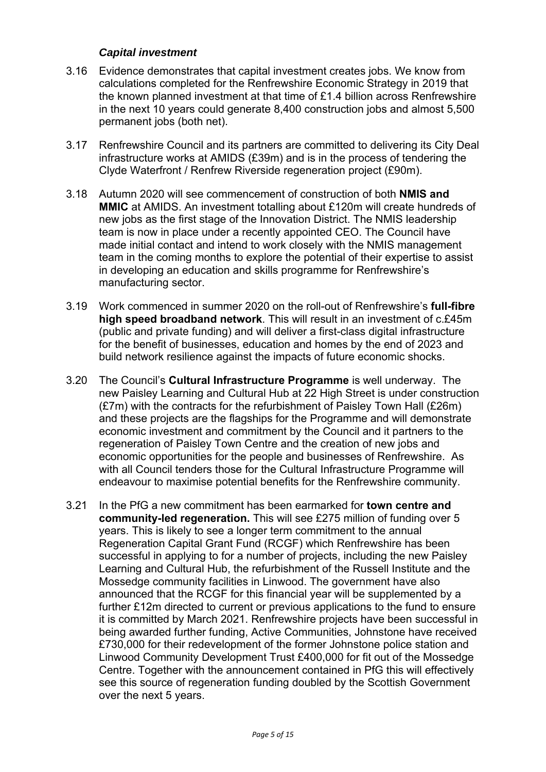#### *Capital investment*

- 3.16 Evidence demonstrates that capital investment creates jobs. We know from calculations completed for the Renfrewshire Economic Strategy in 2019 that the known planned investment at that time of £1.4 billion across Renfrewshire in the next 10 years could generate 8,400 construction jobs and almost 5,500 permanent jobs (both net).
- 3.17 Renfrewshire Council and its partners are committed to delivering its City Deal infrastructure works at AMIDS (£39m) and is in the process of tendering the Clyde Waterfront / Renfrew Riverside regeneration project (£90m).
- 3.18 Autumn 2020 will see commencement of construction of both **NMIS and MMIC** at AMIDS. An investment totalling about £120m will create hundreds of new jobs as the first stage of the Innovation District. The NMIS leadership team is now in place under a recently appointed CEO. The Council have made initial contact and intend to work closely with the NMIS management team in the coming months to explore the potential of their expertise to assist in developing an education and skills programme for Renfrewshire's manufacturing sector.
- 3.19 Work commenced in summer 2020 on the roll-out of Renfrewshire's **full-fibre high speed broadband network**. This will result in an investment of c.£45m (public and private funding) and will deliver a first-class digital infrastructure for the benefit of businesses, education and homes by the end of 2023 and build network resilience against the impacts of future economic shocks.
- 3.20 The Council's **Cultural Infrastructure Programme** is well underway. The new Paisley Learning and Cultural Hub at 22 High Street is under construction (£7m) with the contracts for the refurbishment of Paisley Town Hall (£26m) and these projects are the flagships for the Programme and will demonstrate economic investment and commitment by the Council and it partners to the regeneration of Paisley Town Centre and the creation of new jobs and economic opportunities for the people and businesses of Renfrewshire. As with all Council tenders those for the Cultural Infrastructure Programme will endeavour to maximise potential benefits for the Renfrewshire community.
- 3.21 In the PfG a new commitment has been earmarked for **town centre and community-led regeneration.** This will see £275 million of funding over 5 years. This is likely to see a longer term commitment to the annual Regeneration Capital Grant Fund (RCGF) which Renfrewshire has been successful in applying to for a number of projects, including the new Paisley Learning and Cultural Hub, the refurbishment of the Russell Institute and the Mossedge community facilities in Linwood. The government have also announced that the RCGF for this financial year will be supplemented by a further £12m directed to current or previous applications to the fund to ensure it is committed by March 2021. Renfrewshire projects have been successful in being awarded further funding, Active Communities, Johnstone have received £730,000 for their redevelopment of the former Johnstone police station and Linwood Community Development Trust £400,000 for fit out of the Mossedge Centre. Together with the announcement contained in PfG this will effectively see this source of regeneration funding doubled by the Scottish Government over the next 5 years.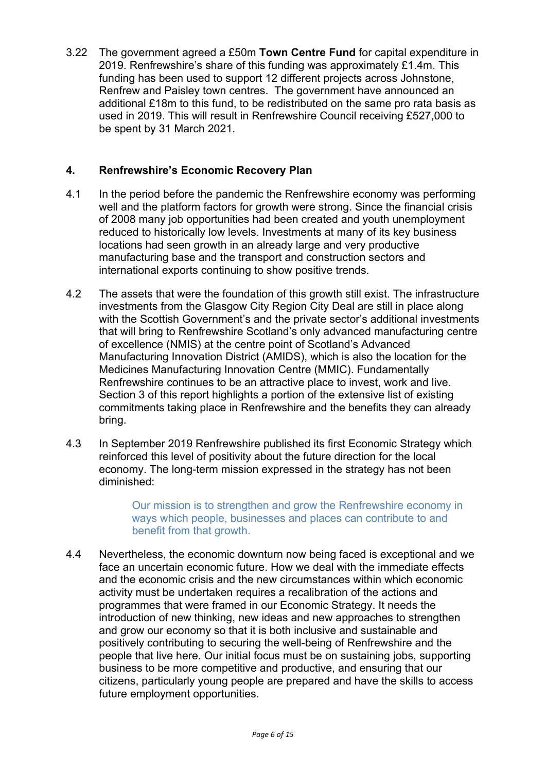3.22 The government agreed a £50m **Town Centre Fund** for capital expenditure in 2019. Renfrewshire's share of this funding was approximately £1.4m. This funding has been used to support 12 different projects across Johnstone, Renfrew and Paisley town centres. The government have announced an additional £18m to this fund, to be redistributed on the same pro rata basis as used in 2019. This will result in Renfrewshire Council receiving £527,000 to be spent by 31 March 2021.

# **4. Renfrewshire's Economic Recovery Plan**

- 4.1 In the period before the pandemic the Renfrewshire economy was performing well and the platform factors for growth were strong. Since the financial crisis of 2008 many job opportunities had been created and youth unemployment reduced to historically low levels. Investments at many of its key business locations had seen growth in an already large and very productive manufacturing base and the transport and construction sectors and international exports continuing to show positive trends.
- 4.2 The assets that were the foundation of this growth still exist. The infrastructure investments from the Glasgow City Region City Deal are still in place along with the Scottish Government's and the private sector's additional investments that will bring to Renfrewshire Scotland's only advanced manufacturing centre of excellence (NMIS) at the centre point of Scotland's Advanced Manufacturing Innovation District (AMIDS), which is also the location for the Medicines Manufacturing Innovation Centre (MMIC). Fundamentally Renfrewshire continues to be an attractive place to invest, work and live. Section 3 of this report highlights a portion of the extensive list of existing commitments taking place in Renfrewshire and the benefits they can already bring.
- 4.3 In September 2019 Renfrewshire published its first Economic Strategy which reinforced this level of positivity about the future direction for the local economy. The long-term mission expressed in the strategy has not been diminished:

Our mission is to strengthen and grow the Renfrewshire economy in ways which people, businesses and places can contribute to and benefit from that growth.

4.4 Nevertheless, the economic downturn now being faced is exceptional and we face an uncertain economic future. How we deal with the immediate effects and the economic crisis and the new circumstances within which economic activity must be undertaken requires a recalibration of the actions and programmes that were framed in our Economic Strategy. It needs the introduction of new thinking, new ideas and new approaches to strengthen and grow our economy so that it is both inclusive and sustainable and positively contributing to securing the well-being of Renfrewshire and the people that live here. Our initial focus must be on sustaining jobs, supporting business to be more competitive and productive, and ensuring that our citizens, particularly young people are prepared and have the skills to access future employment opportunities.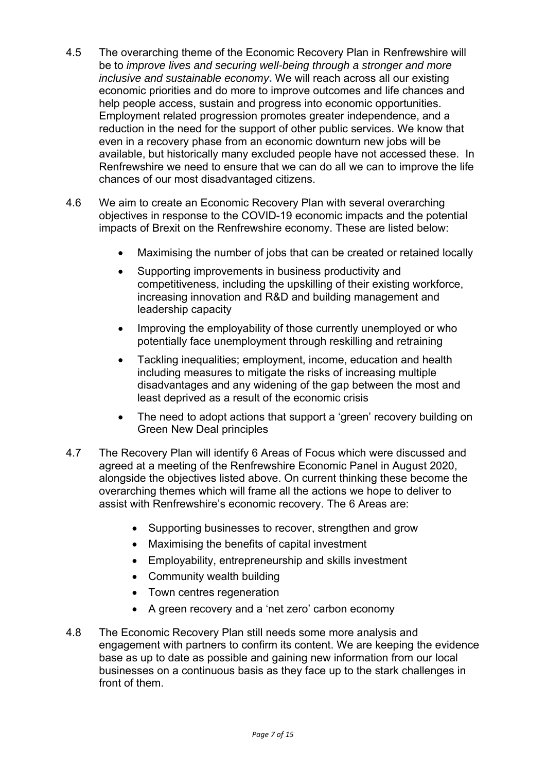- 4.5 The overarching theme of the Economic Recovery Plan in Renfrewshire will be to *improve lives and securing well-being through a stronger and more inclusive and sustainable economy***.** We will reach across all our existing economic priorities and do more to improve outcomes and life chances and help people access, sustain and progress into economic opportunities. Employment related progression promotes greater independence, and a reduction in the need for the support of other public services. We know that even in a recovery phase from an economic downturn new jobs will be available, but historically many excluded people have not accessed these. In Renfrewshire we need to ensure that we can do all we can to improve the life chances of our most disadvantaged citizens.
- 4.6 We aim to create an Economic Recovery Plan with several overarching objectives in response to the COVID-19 economic impacts and the potential impacts of Brexit on the Renfrewshire economy. These are listed below:
	- Maximising the number of jobs that can be created or retained locally
	- Supporting improvements in business productivity and competitiveness, including the upskilling of their existing workforce, increasing innovation and R&D and building management and leadership capacity
	- Improving the employability of those currently unemployed or who potentially face unemployment through reskilling and retraining
	- Tackling inequalities; employment, income, education and health including measures to mitigate the risks of increasing multiple disadvantages and any widening of the gap between the most and least deprived as a result of the economic crisis
	- The need to adopt actions that support a 'green' recovery building on Green New Deal principles
- 4.7 The Recovery Plan will identify 6 Areas of Focus which were discussed and agreed at a meeting of the Renfrewshire Economic Panel in August 2020, alongside the objectives listed above. On current thinking these become the overarching themes which will frame all the actions we hope to deliver to assist with Renfrewshire's economic recovery. The 6 Areas are:
	- Supporting businesses to recover, strengthen and grow
	- Maximising the benefits of capital investment
	- Employability, entrepreneurship and skills investment
	- Community wealth building
	- Town centres regeneration
	- A green recovery and a 'net zero' carbon economy
- 4.8 The Economic Recovery Plan still needs some more analysis and engagement with partners to confirm its content. We are keeping the evidence base as up to date as possible and gaining new information from our local businesses on a continuous basis as they face up to the stark challenges in front of them.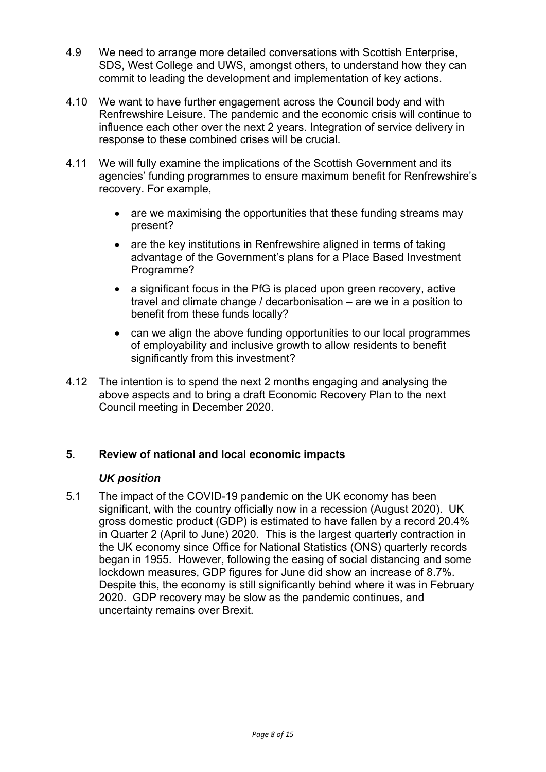- 4.9 We need to arrange more detailed conversations with Scottish Enterprise, SDS, West College and UWS, amongst others, to understand how they can commit to leading the development and implementation of key actions.
- 4.10 We want to have further engagement across the Council body and with Renfrewshire Leisure. The pandemic and the economic crisis will continue to influence each other over the next 2 years. Integration of service delivery in response to these combined crises will be crucial.
- 4.11 We will fully examine the implications of the Scottish Government and its agencies' funding programmes to ensure maximum benefit for Renfrewshire's recovery. For example,
	- are we maximising the opportunities that these funding streams may present?
	- are the key institutions in Renfrewshire aligned in terms of taking advantage of the Government's plans for a Place Based Investment Programme?
	- a significant focus in the PfG is placed upon green recovery, active travel and climate change / decarbonisation – are we in a position to benefit from these funds locally?
	- can we align the above funding opportunities to our local programmes of employability and inclusive growth to allow residents to benefit significantly from this investment?
- 4.12 The intention is to spend the next 2 months engaging and analysing the above aspects and to bring a draft Economic Recovery Plan to the next Council meeting in December 2020.

### **5. Review of national and local economic impacts**

### *UK position*

5.1 The impact of the COVID-19 pandemic on the UK economy has been significant, with the country officially now in a recession (August 2020). UK gross domestic product (GDP) is estimated to have fallen by a record 20.4% in Quarter 2 (April to June) 2020. This is the largest quarterly contraction in the UK economy since Office for National Statistics (ONS) quarterly records began in 1955. However, following the easing of social distancing and some lockdown measures, GDP figures for June did show an increase of 8.7%. Despite this, the economy is still significantly behind where it was in February 2020. GDP recovery may be slow as the pandemic continues, and uncertainty remains over Brexit.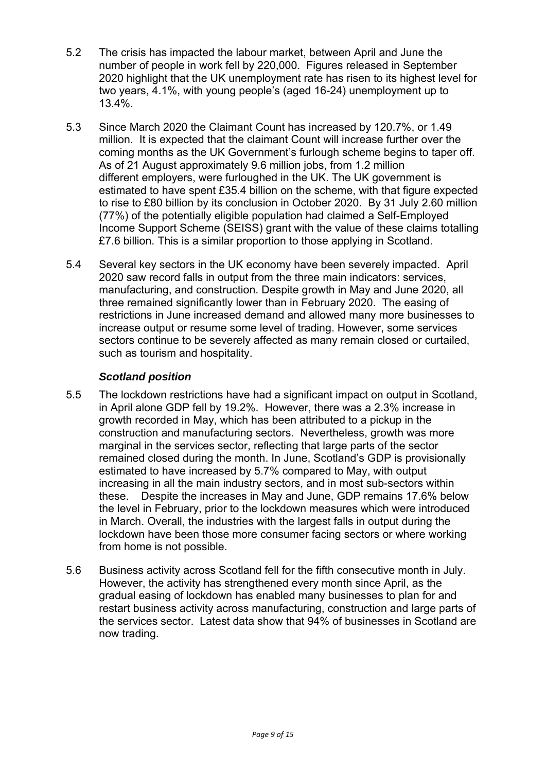- 5.2 The crisis has impacted the labour market, between April and June the number of people in work fell by 220,000. Figures released in September 2020 highlight that the UK unemployment rate has risen to its highest level for two years, 4.1%, with young people's (aged 16-24) unemployment up to 13.4%.
- 5.3 Since March 2020 the Claimant Count has increased by 120.7%, or 1.49 million. It is expected that the claimant Count will increase further over the coming months as the UK Government's furlough scheme begins to taper off. As of 21 August approximately 9.6 million jobs, from 1.2 million different employers, were furloughed in the UK. The UK government is estimated to have spent £35.4 billion on the scheme, with that figure expected to rise to £80 billion by its conclusion in October 2020. By 31 July 2.60 million (77%) of the potentially eligible population had claimed a Self-Employed Income Support Scheme (SEISS) grant with the value of these claims totalling £7.6 billion. This is a similar proportion to those applying in Scotland.
- 5.4 Several key sectors in the UK economy have been severely impacted. April 2020 saw record falls in output from the three main indicators: services, manufacturing, and construction. Despite growth in May and June 2020, all three remained significantly lower than in February 2020. The easing of restrictions in June increased demand and allowed many more businesses to increase output or resume some level of trading. However, some services sectors continue to be severely affected as many remain closed or curtailed, such as tourism and hospitality.

# *Scotland position*

- 5.5 The lockdown restrictions have had a significant impact on output in Scotland, in April alone GDP fell by 19.2%. However, there was a 2.3% increase in growth recorded in May, which has been attributed to a pickup in the construction and manufacturing sectors. Nevertheless, growth was more marginal in the services sector, reflecting that large parts of the sector remained closed during the month. In June, Scotland's GDP is provisionally estimated to have increased by 5.7% compared to May, with output increasing in all the main industry sectors, and in most sub-sectors within these. Despite the increases in May and June, GDP remains 17.6% below the level in February, prior to the lockdown measures which were introduced in March. Overall, the industries with the largest falls in output during the lockdown have been those more consumer facing sectors or where working from home is not possible.
- 5.6 Business activity across Scotland fell for the fifth consecutive month in July. However, the activity has strengthened every month since April, as the gradual easing of lockdown has enabled many businesses to plan for and restart business activity across manufacturing, construction and large parts of the services sector. Latest data show that 94% of businesses in Scotland are now trading.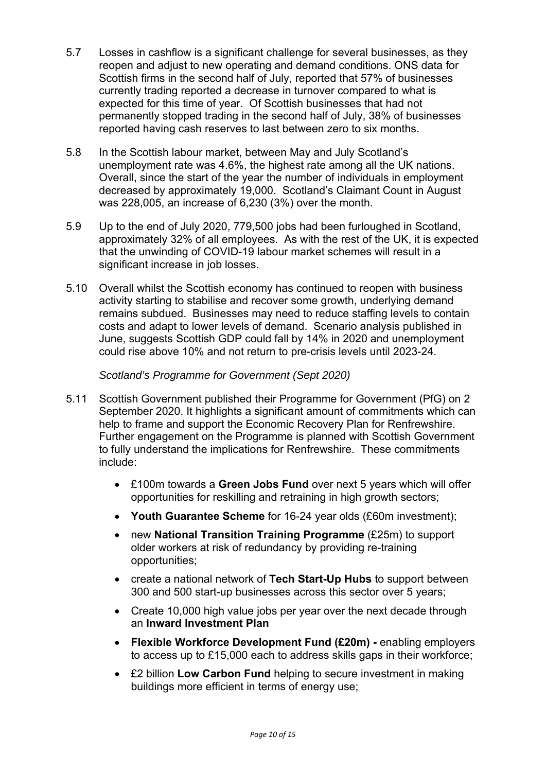- 5.7 Losses in cashflow is a significant challenge for several businesses, as they reopen and adjust to new operating and demand conditions. ONS data for Scottish firms in the second half of July, reported that 57% of businesses currently trading reported a decrease in turnover compared to what is expected for this time of year. Of Scottish businesses that had not permanently stopped trading in the second half of July, 38% of businesses reported having cash reserves to last between zero to six months.
- 5.8 In the Scottish labour market, between May and July Scotland's unemployment rate was 4.6%, the highest rate among all the UK nations. Overall, since the start of the year the number of individuals in employment decreased by approximately 19,000. Scotland's Claimant Count in August was 228,005, an increase of 6,230 (3%) over the month.
- 5.9 Up to the end of July 2020, 779,500 jobs had been furloughed in Scotland, approximately 32% of all employees. As with the rest of the UK, it is expected that the unwinding of COVID-19 labour market schemes will result in a significant increase in job losses.
- 5.10 Overall whilst the Scottish economy has continued to reopen with business activity starting to stabilise and recover some growth, underlying demand remains subdued. Businesses may need to reduce staffing levels to contain costs and adapt to lower levels of demand. Scenario analysis published in June, suggests Scottish GDP could fall by 14% in 2020 and unemployment could rise above 10% and not return to pre-crisis levels until 2023-24.

*Scotland's Programme for Government (Sept 2020)*

- 5.11 Scottish Government published their Programme for Government (PfG) on 2 September 2020. It highlights a significant amount of commitments which can help to frame and support the Economic Recovery Plan for Renfrewshire. Further engagement on the Programme is planned with Scottish Government to fully understand the implications for Renfrewshire. These commitments include:
	- £100m towards a **Green Jobs Fund** over next 5 years which will offer opportunities for reskilling and retraining in high growth sectors;
	- **Youth Guarantee Scheme** for 16-24 year olds (£60m investment);
	- new **National Transition Training Programme** (£25m) to support older workers at risk of redundancy by providing re-training opportunities;
	- create a national network of **Tech Start-Up Hubs** to support between 300 and 500 start-up businesses across this sector over 5 years;
	- Create 10,000 high value jobs per year over the next decade through an **Inward Investment Plan**
	- **Flexible Workforce Development Fund (£20m)** enabling employers to access up to £15,000 each to address skills gaps in their workforce;
	- £2 billion **Low Carbon Fund** helping to secure investment in making buildings more efficient in terms of energy use;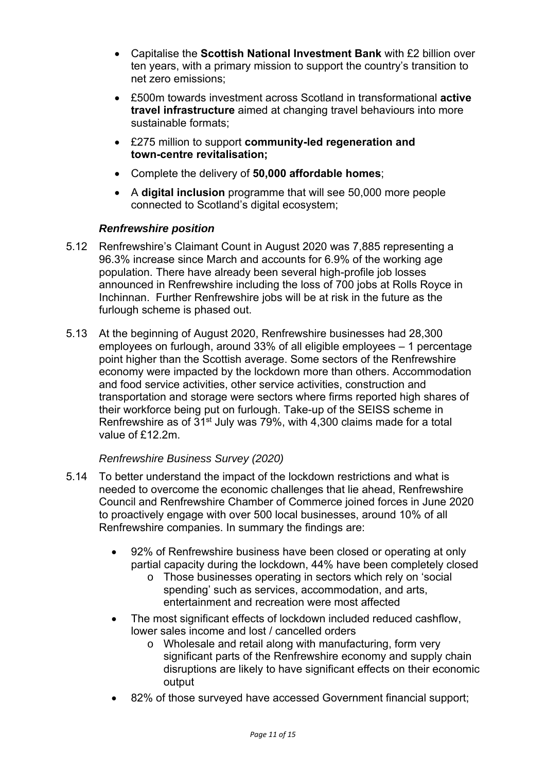- Capitalise the **Scottish National Investment Bank** with £2 billion over ten years, with a primary mission to support the country's transition to net zero emissions;
- £500m towards investment across Scotland in transformational **active travel infrastructure** aimed at changing travel behaviours into more sustainable formats;
- £275 million to support **community-led regeneration and town-centre revitalisation;**
- Complete the delivery of **50,000 affordable homes**;
- A **digital inclusion** programme that will see 50,000 more people connected to Scotland's digital ecosystem;

## *Renfrewshire position*

- 5.12 Renfrewshire's Claimant Count in August 2020 was 7,885 representing a 96.3% increase since March and accounts for 6.9% of the working age population. There have already been several high-profile job losses announced in Renfrewshire including the loss of 700 jobs at Rolls Royce in Inchinnan. Further Renfrewshire jobs will be at risk in the future as the furlough scheme is phased out.
- 5.13 At the beginning of August 2020, Renfrewshire businesses had 28,300 employees on furlough, around 33% of all eligible employees – 1 percentage point higher than the Scottish average. Some sectors of the Renfrewshire economy were impacted by the lockdown more than others. Accommodation and food service activities, other service activities, construction and transportation and storage were sectors where firms reported high shares of their workforce being put on furlough. Take-up of the SEISS scheme in Renfrewshire as of 31<sup>st</sup> July was 79%, with 4,300 claims made for a total value of £12.2m.

### *Renfrewshire Business Survey (2020)*

- 5.14 To better understand the impact of the lockdown restrictions and what is needed to overcome the economic challenges that lie ahead, Renfrewshire Council and Renfrewshire Chamber of Commerce joined forces in June 2020 to proactively engage with over 500 local businesses, around 10% of all Renfrewshire companies. In summary the findings are:
	- 92% of Renfrewshire business have been closed or operating at only partial capacity during the lockdown, 44% have been completely closed
		- o Those businesses operating in sectors which rely on 'social spending' such as services, accommodation, and arts, entertainment and recreation were most affected
	- The most significant effects of lockdown included reduced cashflow, lower sales income and lost / cancelled orders
		- o Wholesale and retail along with manufacturing, form very significant parts of the Renfrewshire economy and supply chain disruptions are likely to have significant effects on their economic output
	- 82% of those surveyed have accessed Government financial support;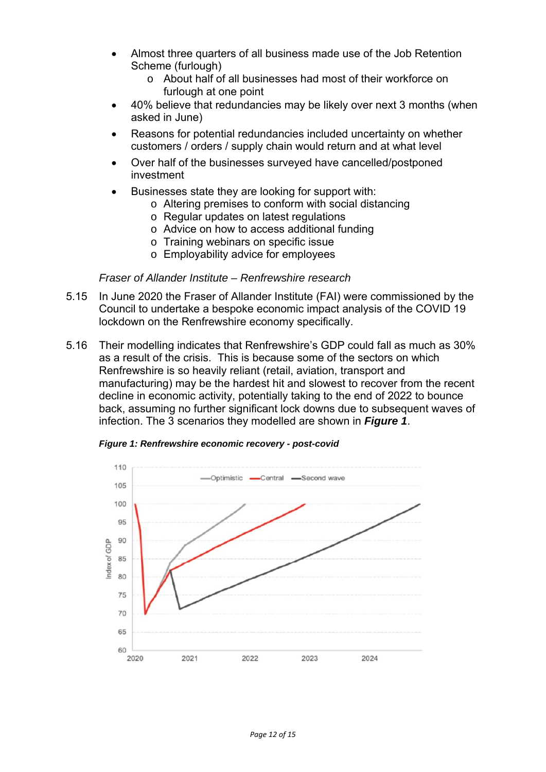- Almost three quarters of all business made use of the Job Retention Scheme (furlough)
	- o About half of all businesses had most of their workforce on furlough at one point
- 40% believe that redundancies may be likely over next 3 months (when asked in June)
- Reasons for potential redundancies included uncertainty on whether customers / orders / supply chain would return and at what level
- Over half of the businesses surveyed have cancelled/postponed investment
- Businesses state they are looking for support with:
	- o Altering premises to conform with social distancing
		- o Regular updates on latest regulations
		- o Advice on how to access additional funding
		- o Training webinars on specific issue
		- o Employability advice for employees

#### *Fraser of Allander Institute – Renfrewshire research*

- 5.15 In June 2020 the Fraser of Allander Institute (FAI) were commissioned by the Council to undertake a bespoke economic impact analysis of the COVID 19 lockdown on the Renfrewshire economy specifically.
- 5.16 Their modelling indicates that Renfrewshire's GDP could fall as much as 30% as a result of the crisis. This is because some of the sectors on which Renfrewshire is so heavily reliant (retail, aviation, transport and manufacturing) may be the hardest hit and slowest to recover from the recent decline in economic activity, potentially taking to the end of 2022 to bounce back, assuming no further significant lock downs due to subsequent waves of infection. The 3 scenarios they modelled are shown in *Figure 1*.



*Figure 1: Renfrewshire economic recovery - post-covid*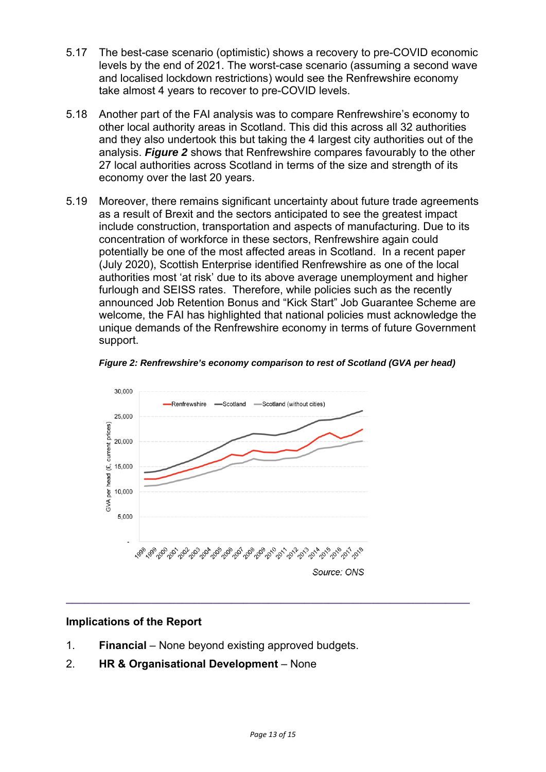- 5.17 The best-case scenario (optimistic) shows a recovery to pre-COVID economic levels by the end of 2021. The worst-case scenario (assuming a second wave and localised lockdown restrictions) would see the Renfrewshire economy take almost 4 years to recover to pre-COVID levels.
- 5.18 Another part of the FAI analysis was to compare Renfrewshire's economy to other local authority areas in Scotland. This did this across all 32 authorities and they also undertook this but taking the 4 largest city authorities out of the analysis. *Figure 2* shows that Renfrewshire compares favourably to the other 27 local authorities across Scotland in terms of the size and strength of its economy over the last 20 years.
- 5.19 Moreover, there remains significant uncertainty about future trade agreements as a result of Brexit and the sectors anticipated to see the greatest impact include construction, transportation and aspects of manufacturing. Due to its concentration of workforce in these sectors, Renfrewshire again could potentially be one of the most affected areas in Scotland. In a recent paper (July 2020), Scottish Enterprise identified Renfrewshire as one of the local authorities most 'at risk' due to its above average unemployment and higher furlough and SEISS rates. Therefore, while policies such as the recently announced Job Retention Bonus and "Kick Start" Job Guarantee Scheme are welcome, the FAI has highlighted that national policies must acknowledge the unique demands of the Renfrewshire economy in terms of future Government support.





### **Implications of the Report**

- 1. **Financial** None beyond existing approved budgets.
- 2. **HR & Organisational Development** None

**\_\_\_\_\_\_\_\_\_\_\_\_\_\_\_\_\_\_\_\_\_\_\_\_\_\_\_\_\_\_\_\_\_\_\_\_\_\_\_\_\_\_\_\_\_\_\_\_\_\_\_\_\_\_\_\_\_\_\_\_\_\_\_\_\_\_**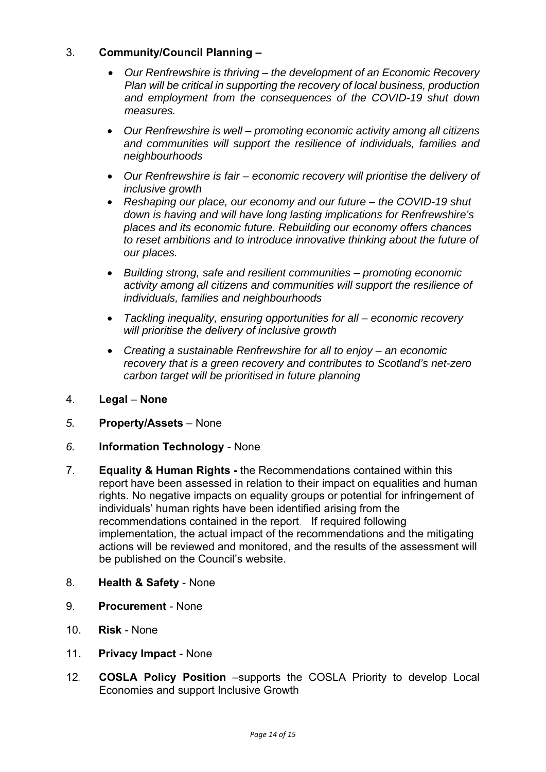# 3. **Community/Council Planning –**

- *Our Renfrewshire is thriving the development of an Economic Recovery Plan will be critical in supporting the recovery of local business, production and employment from the consequences of the COVID-19 shut down measures.*
- *Our Renfrewshire is well promoting economic activity among all citizens and communities will support the resilience of individuals, families and neighbourhoods*
- *Our Renfrewshire is fair economic recovery will prioritise the delivery of inclusive growth*
- *Reshaping our place, our economy and our future the COVID-19 shut down is having and will have long lasting implications for Renfrewshire's places and its economic future. Rebuilding our economy offers chances to reset ambitions and to introduce innovative thinking about the future of our places.*
- *Building strong, safe and resilient communities promoting economic activity among all citizens and communities will support the resilience of individuals, families and neighbourhoods*
- *Tackling inequality, ensuring opportunities for all economic recovery will prioritise the delivery of inclusive growth*
- *Creating a sustainable Renfrewshire for all to enjoy an economic recovery that is a green recovery and contributes to Scotland's net-zero carbon target will be prioritised in future planning*
- 4. **Legal None**
- *5.* **Property/Assets** None
- *6.* **Information Technology** None
- 7. **Equality & Human Rights** the Recommendations contained within this report have been assessed in relation to their impact on equalities and human rights. No negative impacts on equality groups or potential for infringement of individuals' human rights have been identified arising from the recommendations contained in the report. If required following implementation, the actual impact of the recommendations and the mitigating actions will be reviewed and monitored, and the results of the assessment will be published on the Council's website.
- 8. **Health & Safety** None
- 9. **Procurement** None
- 10. **Risk** None
- 11. **Privacy Impact** None
- 12*.* **COSLA Policy Position** –supports the COSLA Priority to develop Local Economies and support Inclusive Growth